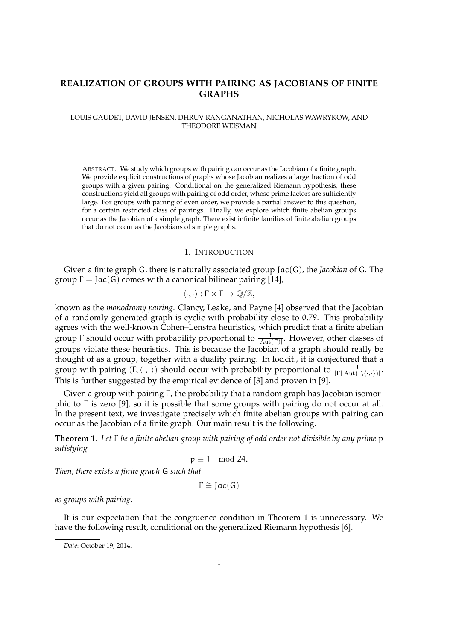# **REALIZATION OF GROUPS WITH PAIRING AS JACOBIANS OF FINITE GRAPHS**

## LOUIS GAUDET, DAVID JENSEN, DHRUV RANGANATHAN, NICHOLAS WAWRYKOW, AND THEODORE WEISMAN

ABSTRACT. We study which groups with pairing can occur as the Jacobian of a finite graph. We provide explicit constructions of graphs whose Jacobian realizes a large fraction of odd groups with a given pairing. Conditional on the generalized Riemann hypothesis, these constructions yield all groups with pairing of odd order, whose prime factors are sufficiently large. For groups with pairing of even order, we provide a partial answer to this question, for a certain restricted class of pairings. Finally, we explore which finite abelian groups occur as the Jacobian of a simple graph. There exist infinite families of finite abelian groups that do not occur as the Jacobians of simple graphs.

#### 1. INTRODUCTION

Given a finite graph G, there is naturally associated group Jac(G), the *Jacobian* of G. The group  $\Gamma = \text{Jac}(G)$  comes with a canonical bilinear pairing [14],

$$
\langle \cdot, \cdot \rangle : \Gamma \times \Gamma \to \mathbb{Q}/\mathbb{Z},
$$

known as the *monodromy pairing*. Clancy, Leake, and Payne [4] observed that the Jacobian of a randomly generated graph is cyclic with probability close to 0.79. This probability agrees with the well-known Cohen–Lenstra heuristics, which predict that a finite abelian group Γ should occur with probability proportional to  $\frac{1}{|\text{Aut}(\Gamma)|}$ . However, other classes of groups violate these heuristics. This is because the Jacobian of a graph should really be thought of as a group, together with a duality pairing. In loc.cit., it is conjectured that a group with pairing  $(\Gamma,\langle\cdot,\cdot\rangle)$  should occur with probability proportional to  $\frac{1}{|\Gamma||\text{Aut}(\Gamma,\langle\cdot,\cdot\rangle)|}$ . This is further suggested by the empirical evidence of [3] and proven in [9].

Given a group with pairing Γ, the probability that a random graph has Jacobian isomorphic to  $\Gamma$  is zero [9], so it is possible that some groups with pairing do not occur at all. In the present text, we investigate precisely which finite abelian groups with pairing can occur as the Jacobian of a finite graph. Our main result is the following.

**Theorem 1.** *Let* Γ *be a finite abelian group with pairing of odd order not divisible by any prime* p *satisfying*

$$
p\equiv 1\mod{24}.
$$

*Then, there exists a finite graph* G *such that*

$$
\Gamma \cong Jac(G)
$$

*as groups with pairing.*

It is our expectation that the congruence condition in Theorem 1 is unnecessary. We have the following result, conditional on the generalized Riemann hypothesis [6].

*Date*: October 19, 2014.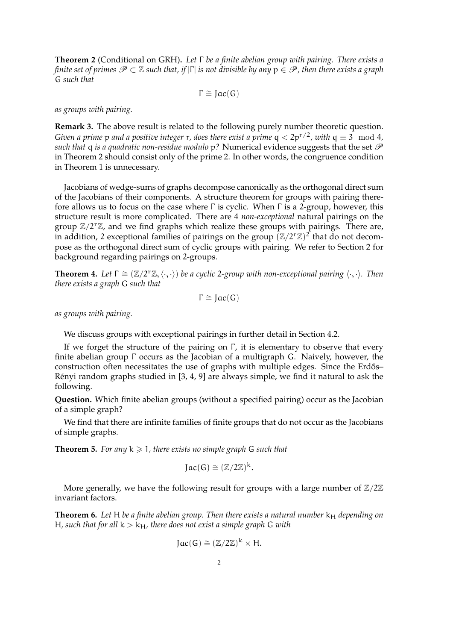**Theorem 2** (Conditional on GRH)**.** *Let* Γ *be a finite abelian group with pairing. There exists a finite set of primes*  $\mathcal{P} \subset \mathbb{Z}$  *such that, if* |Γ| *is not divisible by any*  $p \in \mathcal{P}$ , then there exists a graph G *such that*

$$
\Gamma \cong Jac(G)
$$

*as groups with pairing.*

**Remark 3.** The above result is related to the following purely number theoretic question. *Given a prime* p *and a positive integer* r, does there exist a prime  $q < 2p^{r/2}$ , with  $q \equiv 3 \mod 4$ , *such that* q *is a quadratic non-residue modulo* p? Numerical evidence suggests that the set  $\mathscr P$ in Theorem 2 should consist only of the prime 2. In other words, the congruence condition in Theorem 1 is unnecessary.

Jacobians of wedge-sums of graphs decompose canonically as the orthogonal direct sum of the Jacobians of their components. A structure theorem for groups with pairing therefore allows us to focus on the case where Γ is cyclic. When Γ is a 2-group, however, this structure result is more complicated. There are 4 *non-exceptional* natural pairings on the group  $\mathbb{Z}/2^r\mathbb{Z}$ , and we find graphs which realize these groups with pairings. There are, in addition, 2 exceptional families of pairings on the group  $(\mathbb{Z}/2^{r}\mathbb{Z})^2$  that do not decompose as the orthogonal direct sum of cyclic groups with pairing. We refer to Section 2 for background regarding pairings on 2-groups.

**Theorem 4.** *Let*  $\Gamma \cong (\mathbb{Z}/2^{r}\mathbb{Z}, \langle \cdot, \cdot \rangle)$  *be a cyclic* 2*-group with non-exceptional pairing*  $\langle \cdot, \cdot \rangle$ *. Then there exists a graph* G *such that*

$$
\Gamma \cong Jac(G)
$$

*as groups with pairing.*

We discuss groups with exceptional pairings in further detail in Section 4.2.

If we forget the structure of the pairing on  $\Gamma$ , it is elementary to observe that every finite abelian group Γ occurs as the Jacobian of a multigraph G. Naively, however, the construction often necessitates the use of graphs with multiple edges. Since the Erdős– Rényi random graphs studied in [3, 4, 9] are always simple, we find it natural to ask the following.

**Question.** Which finite abelian groups (without a specified pairing) occur as the Jacobian of a simple graph?

We find that there are infinite families of finite groups that do not occur as the Jacobians of simple graphs.

**Theorem 5.** For any  $k \ge 1$ , there exists no simple graph G such that

$$
Jac(G)\cong (\mathbb{Z}/2\mathbb{Z})^k.
$$

More generally, we have the following result for groups with a large number of  $\mathbb{Z}/2\mathbb{Z}$ invariant factors.

**Theorem 6.** Let H be a finite abelian group. Then there exists a natural number  $k_H$  depending on H, such that for all  $k > k_H$ , there does not exist a simple graph G with

$$
Jac(G)\cong (\mathbb{Z}/2\mathbb{Z})^k\times H.
$$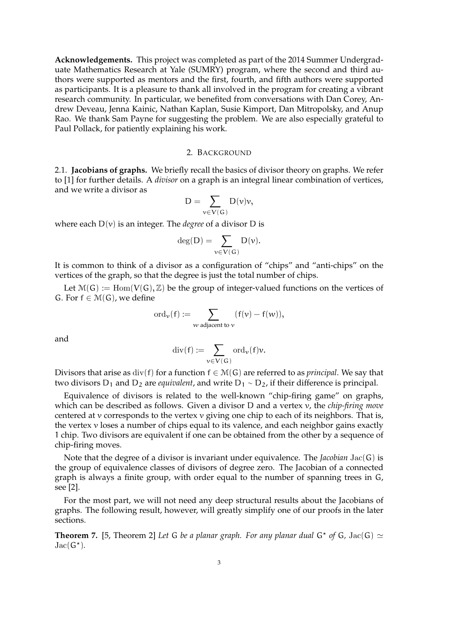**Acknowledgements.** This project was completed as part of the 2014 Summer Undergraduate Mathematics Research at Yale (SUMRY) program, where the second and third authors were supported as mentors and the first, fourth, and fifth authors were supported as participants. It is a pleasure to thank all involved in the program for creating a vibrant research community. In particular, we benefited from conversations with Dan Corey, Andrew Deveau, Jenna Kainic, Nathan Kaplan, Susie Kimport, Dan Mitropolsky, and Anup Rao. We thank Sam Payne for suggesting the problem. We are also especially grateful to Paul Pollack, for patiently explaining his work.

### 2. BACKGROUND

2.1. **Jacobians of graphs.** We briefly recall the basics of divisor theory on graphs. We refer to [1] for further details. A *divisor* on a graph is an integral linear combination of vertices, and we write a divisor as

$$
D=\sum_{\nu\in V(G)}D(\nu)\nu,
$$

where each  $D(v)$  is an integer. The *degree* of a divisor D is

$$
\deg(D)=\sum_{\nu\in V(G)}D(\nu).
$$

It is common to think of a divisor as a configuration of "chips" and "anti-chips" on the vertices of the graph, so that the degree is just the total number of chips.

Let  $\mathcal{M}(G) := \text{Hom}(V(G), \mathbb{Z})$  be the group of integer-valued functions on the vertices of G. For  $f \in \mathcal{M}(G)$ , we define

$$
\mathrm{ord}_\nu(f) := \sum_{\mathcal{W} \text{ adjacent to } \nu} (f(\nu) - f(\mathcal{W})),
$$

and

$$
\mathrm{div}(f):=\sum_{\nu\in V(G)}\mathrm{ord}_{\nu}(f)\nu.
$$

Divisors that arise as  $div(f)$  for a function  $f \in \mathcal{M}(G)$  are referred to as *principal*. We say that two divisors D<sup>1</sup> and D<sup>2</sup> are *equivalent*, and write D<sup>1</sup> ∼ D2, if their difference is principal.

Equivalence of divisors is related to the well-known "chip-firing game" on graphs, which can be described as follows. Given a divisor D and a vertex v, the *chip-firing move* centered at v corresponds to the vertex v giving one chip to each of its neighbors. That is, the vertex  $\nu$  loses a number of chips equal to its valence, and each neighbor gains exactly 1 chip. Two divisors are equivalent if one can be obtained from the other by a sequence of chip-firing moves.

Note that the degree of a divisor is invariant under equivalence. The *Jacobian* Jac(G) is the group of equivalence classes of divisors of degree zero. The Jacobian of a connected graph is always a finite group, with order equal to the number of spanning trees in G, see [2].

For the most part, we will not need any deep structural results about the Jacobians of graphs. The following result, however, will greatly simplify one of our proofs in the later sections.

**Theorem 7.** [5, Theorem 2] Let G be a planar graph. For any planar dual  $G^*$  of G, Jac(G)  $\simeq$  $Jac(G^{\star}).$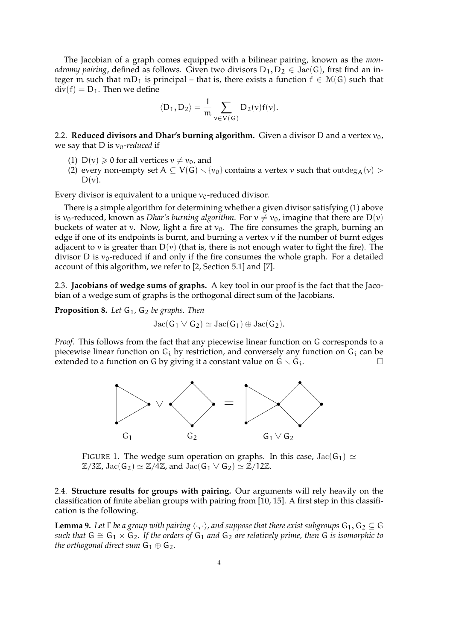The Jacobian of a graph comes equipped with a bilinear pairing, known as the *monodromy pairing*, defined as follows. Given two divisors  $D_1, D_2 \in \text{Jac}(G)$ , first find an integer m such that mD<sub>1</sub> is principal – that is, there exists a function  $f \in M(G)$  such that  $div(f) = D_1$ . Then we define

$$
\langle D_1, D_2 \rangle = \frac{1}{\mathfrak{m}} \sum_{v \in V(G)} D_2(v) f(v).
$$

2.2. **Reduced divisors and Dhar's burning algorithm.** Given a divisor D and a vertex  $v_0$ , we say that D is  $v_0$ -reduced if

- (1)  $D(v) \ge 0$  for all vertices  $v \ne v_0$ , and
- (2) every non-empty set  $A \subseteq V(G) \setminus \{v_0\}$  contains a vertex v such that outdeg<sub>A</sub>(v) >  $D(v)$ .

Every divisor is equivalent to a unique  $v_0$ -reduced divisor.

There is a simple algorithm for determining whether a given divisor satisfying (1) above is  $v_0$ -reduced, known as *Dhar's burning algorithm*. For  $v \neq v_0$ , imagine that there are D(v) buckets of water at v. Now, light a fire at  $v_0$ . The fire consumes the graph, burning an edge if one of its endpoints is burnt, and burning a vertex v if the number of burnt edges adjacent to v is greater than  $D(v)$  (that is, there is not enough water to fight the fire). The divisor D is  $v_0$ -reduced if and only if the fire consumes the whole graph. For a detailed account of this algorithm, we refer to [2, Section 5.1] and [7].

2.3. **Jacobians of wedge sums of graphs.** A key tool in our proof is the fact that the Jacobian of a wedge sum of graphs is the orthogonal direct sum of the Jacobians.

**Proposition 8.** Let G<sub>1</sub>, G<sub>2</sub> be graphs. Then

$$
\operatorname{Jac}(G_1 \vee G_2) \simeq \operatorname{Jac}(G_1) \oplus \operatorname{Jac}(G_2).
$$

*Proof.* This follows from the fact that any piecewise linear function on G corresponds to a piecewise linear function on  $G_i$  by restriction, and conversely any function on  $G_i$  can be extended to a function on G by giving it a constant value on  $G \setminus G_i$ .



FIGURE 1. The wedge sum operation on graphs. In this case,  $Jac(G_1) \simeq$  $\mathbb{Z}/3\mathbb{Z}$ , Jac(G<sub>2</sub>)  $\simeq \mathbb{Z}/4\mathbb{Z}$ , and Jac(G<sub>1</sub>  $\vee$  G<sub>2</sub>)  $\simeq \mathbb{Z}/12\mathbb{Z}$ .

2.4. **Structure results for groups with pairing.** Our arguments will rely heavily on the classification of finite abelian groups with pairing from [10, 15]. A first step in this classification is the following.

**Lemma 9.** Let  $\Gamma$  be a group with pairing  $\langle \cdot, \cdot \rangle$ , and suppose that there exist subgroups  $G_1, G_2 \subseteq G$ *such that*  $G \cong G_1 \times G_2$ . If the orders of  $G_1$  and  $G_2$  are relatively prime, then G is isomorphic to *the orthogonal direct sum*  $G_1 \oplus G_2$ *.*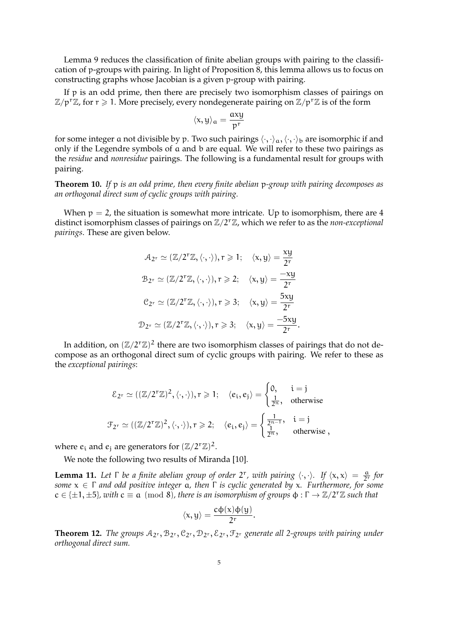Lemma 9 reduces the classification of finite abelian groups with pairing to the classification of p-groups with pairing. In light of Proposition 8, this lemma allows us to focus on constructing graphs whose Jacobian is a given p-group with pairing.

If p is an odd prime, then there are precisely two isomorphism classes of pairings on  $\mathbb{Z}/p^r\mathbb{Z}$ , for  $r \geq 1$ . More precisely, every nondegenerate pairing on  $\mathbb{Z}/p^r\mathbb{Z}$  is of the form

$$
\langle x,y\rangle_\alpha=\frac{axy}{p^r}
$$

for some integer a not divisible by p. Two such pairings  $\langle \cdot, \cdot \rangle_a, \langle \cdot, \cdot \rangle_b$  are isomorphic if and only if the Legendre symbols of a and b are equal. We will refer to these two pairings as the *residue* and *nonresidue* pairings. The following is a fundamental result for groups with pairing.

**Theorem 10.** *If* p *is an odd prime, then every finite abelian* p*-group with pairing decomposes as an orthogonal direct sum of cyclic groups with pairing.*

When  $p = 2$ , the situation is somewhat more intricate. Up to isomorphism, there are 4 distinct isomorphism classes of pairings on Z/2rZ, which we refer to as the *non-exceptional pairings*. These are given below.

$$
A_{2^{r}} \simeq (\mathbb{Z}/2^{r}\mathbb{Z}, \langle \cdot, \cdot \rangle), r \geqslant 1; \quad \langle x, y \rangle = \frac{xy}{2^{r}}
$$
\n
$$
B_{2^{r}} \simeq (\mathbb{Z}/2^{r}\mathbb{Z}, \langle \cdot, \cdot \rangle), r \geqslant 2; \quad \langle x, y \rangle = \frac{-xy}{2^{r}}
$$
\n
$$
C_{2^{r}} \simeq (\mathbb{Z}/2^{r}\mathbb{Z}, \langle \cdot, \cdot \rangle), r \geqslant 3; \quad \langle x, y \rangle = \frac{5xy}{2^{r}}
$$
\n
$$
\mathcal{D}_{2^{r}} \simeq (\mathbb{Z}/2^{r}\mathbb{Z}, \langle \cdot, \cdot \rangle), r \geqslant 3; \quad \langle x, y \rangle = \frac{-5xy}{2^{r}}.
$$

In addition, on  $(\mathbb{Z}/2^r\mathbb{Z})^2$  there are two isomorphism classes of pairings that do not decompose as an orthogonal direct sum of cyclic groups with pairing. We refer to these as the *exceptional pairings*:

$$
\mathcal{E}_{2^r} \simeq ((\mathbb{Z}/2^r\mathbb{Z})^2, \langle \cdot, \cdot \rangle), r \geqslant 1; \quad \langle e_i, e_j \rangle = \begin{cases} 0, & i = j \\ \frac{1}{2^n}, & \text{otherwise} \end{cases}
$$
  

$$
\mathcal{F}_{2^r} \simeq ((\mathbb{Z}/2^r\mathbb{Z})^2, \langle \cdot, \cdot \rangle), r \geqslant 2; \quad \langle e_i, e_j \rangle = \begin{cases} \frac{1}{2^{n-1}}, & i = j \\ \frac{1}{2^n}, & \text{otherwise} \end{cases}
$$

where  $e_i$  and  $e_j$  are generators for  $(\mathbb{Z}/2^r\mathbb{Z})^2$ .

We note the following two results of Miranda [10].

**Lemma 11.** Let  $\Gamma$  be a finite abelian group of order  $2^r$ , with pairing  $\langle \cdot, \cdot \rangle$ . If  $\langle x, x \rangle = \frac{a}{2^r}$  for *some* x ∈ Γ *and odd positive integer* a*, then* Γ *is cyclic generated by* x*. Furthermore, for some*  $c \in \{\pm 1, \pm 5\}$ , with  $c \equiv \alpha \pmod{8}$ , there is an isomorphism of groups  $\phi : \Gamma \to \mathbb{Z}/2^{r}\mathbb{Z}$  such that

$$
\langle x,y\rangle=\frac{c\varphi(x)\varphi(y)}{2^r}.
$$

**Theorem 12.** *The groups*  $A_{2r}$ ,  $B_{2r}$ ,  $C_{2r}$ ,  $D_{2r}$ ,  $E_{2r}$ ,  $F_{2r}$  *generate all 2-groups with pairing under orthogonal direct sum.*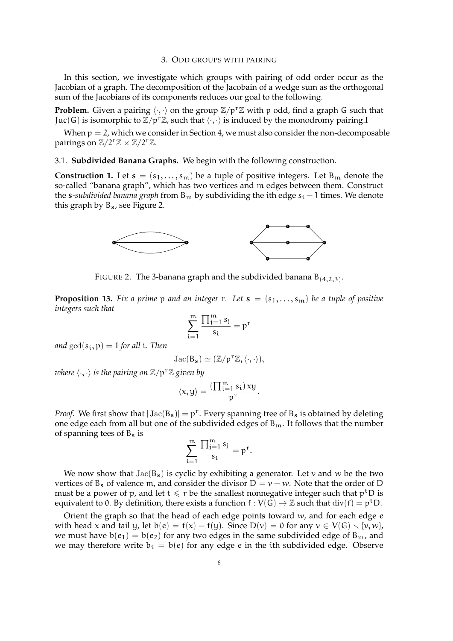#### 3. ODD GROUPS WITH PAIRING

In this section, we investigate which groups with pairing of odd order occur as the Jacobian of a graph. The decomposition of the Jacobain of a wedge sum as the orthogonal sum of the Jacobians of its components reduces our goal to the following.

**Problem.** Given a pairing  $\langle \cdot, \cdot \rangle$  on the group  $\mathbb{Z}/p^r\mathbb{Z}$  with p odd, find a graph G such that Jac(G) is isomorphic to  $\mathbb{Z}/p^r\mathbb{Z}$ , such that  $\langle \cdot, \cdot \rangle$  is induced by the monodromy pairing.I

When  $p = 2$ , which we consider in Section 4, we must also consider the non-decomposable pairings on  $\mathbb{Z}/2^r\mathbb{Z} \times \mathbb{Z}/2^r\mathbb{Z}$ .

3.1. **Subdivided Banana Graphs.** We begin with the following construction.

**Construction 1.** Let  $s = (s_1, \ldots, s_m)$  be a tuple of positive integers. Let  $B_m$  denote the so-called "banana graph", which has two vertices and m edges between them. Construct the *s*-subdivided banana graph from  $B_m$  by subdividing the ith edge  $s_i - 1$  times. We denote this graph by Bs, see Figure 2.



FIGURE 2. The 3-banana graph and the subdivided banana  $B_{(4,2,3)}$ .

**Proposition 13.** Fix a prime p and an integer r. Let  $s = (s_1, \ldots, s_m)$  be a tuple of positive *integers such that*

$$
\sum_{i=1}^{m} \frac{\prod_{j=1}^{m} s_j}{s_i} = p^r
$$

*and*  $gcd(s_i, p) = 1$  *for all i. Then* 

$$
\operatorname{Jac}(B_{\mathbf{s}}) \simeq (\mathbb{Z}/p^r\mathbb{Z}, \langle \cdot, \cdot \rangle),
$$

*where*  $\langle \cdot, \cdot \rangle$  *is the pairing on*  $\mathbb{Z}/p^r\mathbb{Z}$  *given by* 

$$
\langle x,y\rangle=\frac{(\prod_{i=1}^m s_i)\,xy}{p^r}.
$$

*Proof.* We first show that  $|\text{Jac}(B_s)| = p^r$ . Every spanning tree of  $B_s$  is obtained by deleting one edge each from all but one of the subdivided edges of  $B_m$ . It follows that the number of spanning tees of  $B_s$  is

$$
\sum_{i=1}^m\frac{\prod_{j=1}^ms_j}{s_i}=p^r.
$$

We now show that  $Jac(B_s)$  is cyclic by exhibiting a generator. Let v and w be the two vertices of B<sub>s</sub> of valence m, and consider the divisor  $D = v - w$ . Note that the order of D must be a power of p, and let  $t \leq r$  be the smallest nonnegative integer such that  $p<sup>t</sup>D$  is equivalent to 0. By definition, there exists a function  $f: V(G) \to \mathbb{Z}$  such that  $div(f) = p^t D$ .

Orient the graph so that the head of each edge points toward  $w$ , and for each edge  $e$ with head x and tail y, let  $b(e) = f(x) - f(y)$ . Since  $D(v) = 0$  for any  $v \in V(G) \setminus \{v, w\}$ , we must have  $b(e_1) = b(e_2)$  for any two edges in the same subdivided edge of  $B_{m}$ , and we may therefore write  $b_i = b(e)$  for any edge e in the ith subdivided edge. Observe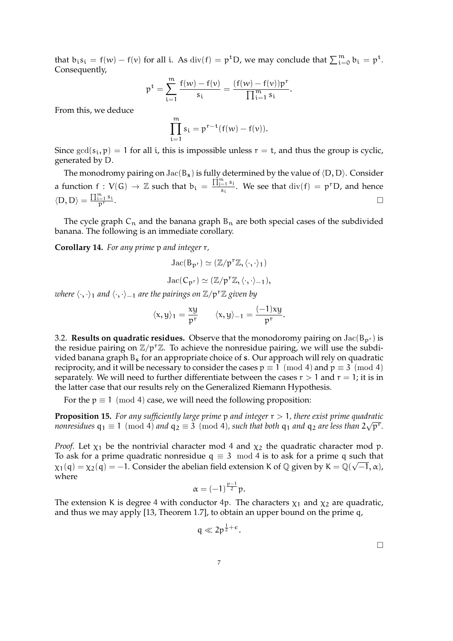that  $b_i s_i = f(w) - f(v)$  for all i. As  $div(f) = p^t D$ , we may conclude that  $\sum_{i=0}^{m} b_i = p^t$ . Consequently,

$$
p^t=\sum_{i=1}^m\frac{f(w)-f(\nu)}{s_i}=\frac{(f(w)-f(\nu))p^r}{\prod_{i=1}^m s_i}.
$$

From this, we deduce

$$
\prod_{i=1}^m s_i = p^{r-t}(f(w) - f(\nu)).
$$

Since  $gcd(s_i, p) = 1$  for all i, this is impossible unless  $r = t$ , and thus the group is cyclic, generated by D.

The monodromy pairing on  $Jac(B_s)$  is fully determined by the value of  $\langle D, D \rangle$ . Consider a function  $f: V(G) \to \mathbb{Z}$  such that  $b_i = \frac{\prod_{j=1}^{m} s_j}{s_i}$  $\frac{e^{-1}S_i}{S_i}$ . We see that  $div(f) = p^T D$ , and hence  $\langle D, D \rangle = \frac{\prod_{i=1}^{m} s_i}{n^r}$  $\frac{\ln 1}{p}$  .

The cycle graph  $C_n$  and the banana graph  $B_n$  are both special cases of the subdivided banana. The following is an immediate corollary.

**Corollary 14.** *For any prime* p *and integer* r*,*

$$
\operatorname{Jac}(B_{p^r})\simeq (\mathbb{Z}/p^r\mathbb{Z},\langle \cdot,\cdot\rangle_1)
$$

$$
\operatorname{Jac}(C_{p^r}) \simeq (\mathbb{Z}/p^r\mathbb{Z}, \langle \cdot, \cdot \rangle_{-1}),
$$

*where*  $\langle \cdot, \cdot \rangle_1$  *and*  $\langle \cdot, \cdot \rangle_{-1}$  *are the pairings on*  $\mathbb{Z}/p^r\mathbb{Z}$  *given by* 

$$
\langle x, y \rangle_1 = \frac{xy}{p^r}
$$
  $\langle x, y \rangle_{-1} = \frac{(-1)xy}{p^r}.$ 

3.2. **Results on quadratic residues.** Observe that the monodoromy pairing on  $Jac(B_{p^r})$  is the residue pairing on  $\mathbb{Z}/p^r\mathbb{Z}$ . To achieve the nonresidue pairing, we will use the subdivided banana graph  $B_s$  for an appropriate choice of s. Our approach will rely on quadratic reciprocity, and it will be necessary to consider the cases  $p \equiv 1 \pmod{4}$  and  $p \equiv 3 \pmod{4}$ separately. We will need to further differentiate between the cases  $r > 1$  and  $r = 1$ ; it is in the latter case that our results rely on the Generalized Riemann Hypothesis.

For the  $p \equiv 1 \pmod{4}$  case, we will need the following proposition:

**Proposition 15.** *For any sufficiently large prime* p *and integer* r > 1*, there exist prime quadratic* √ *nonresidues*  $q_1 \equiv 1 \pmod{4}$  *and*  $q_2 \equiv 3 \pmod{4}$ , such that both  $q_1$  *and*  $q_2$  *are less than*  $2\sqrt{\text{p}^r}$ .

*Proof.* Let  $\chi_1$  be the nontrivial character mod 4 and  $\chi_2$  the quadratic character mod p. To ask for a prime quadratic nonresidue  $q \equiv 3 \mod 4$  is to ask for a prime q such that  $\chi_1(q)=\chi_2(q)=-1.$  Consider the abelian field extension K of  $\mathbb Q$  given by K =  $\mathbb Q(\sqrt{-1},\alpha)$ , where

$$
\alpha=(-1)^{\frac{p-1}{2}}p.
$$

The extension K is degree 4 with conductor 4p. The characters  $\chi_1$  and  $\chi_2$  are quadratic, and thus we may apply [13, Theorem 1.7], to obtain an upper bound on the prime q,

$$
q\ll 2p^{\frac{1}{2}+\varepsilon}.
$$

 $\Box$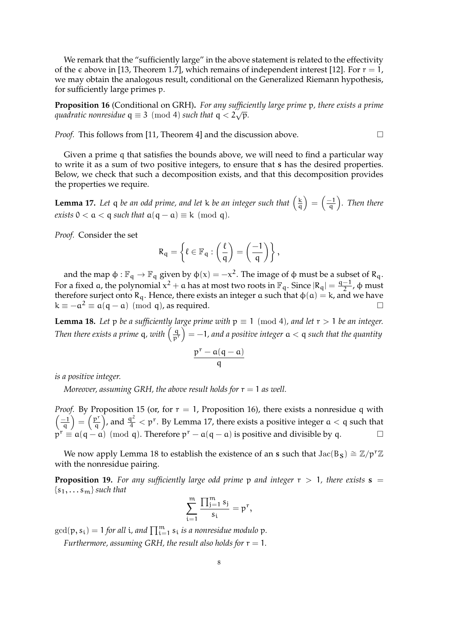We remark that the "sufficiently large" in the above statement is related to the effectivity of the  $\epsilon$  above in [13, Theorem 1.7], which remains of independent interest [12]. For  $r = 1$ , we may obtain the analogous result, conditional on the Generalized Riemann hypothesis, for sufficiently large primes p.

**Proposition 16** (Conditional on GRH)**.** *For any sufficiently large prime* p*, there exists a prime quadratic nonresidue*  $q \equiv 3 \pmod{4}$  *such that*  $q < 2\sqrt{p}$ *.* 

*Proof.* This follows from [11, Theorem 4] and the discussion above. □

Given a prime q that satisfies the bounds above, we will need to find a particular way to write it as a sum of two positive integers, to ensure that s has the desired properties. Below, we check that such a decomposition exists, and that this decomposition provides the properties we require.

**Lemma 17.** Let q be an odd prime, and let k be an integer such that  $\left(\frac{k}{q}\right)$  $\frac{\mathbf{k}}{\mathbf{q}}$  =  $\left(\frac{-1}{\mathbf{q}}\right)$  $\frac{-1}{9}$ ). Then there *exists*  $0 < a < q$  *such that*  $a(q - a) \equiv k \pmod{q}$ *.* 

*Proof.* Consider the set

$$
R_q = \left\{ \ell \in \mathbb{F}_q : \left( \frac{\ell}{q} \right) = \left( \frac{-1}{q} \right) \right\},
$$

and the map  $\phi: \mathbb{F}_q \to \mathbb{F}_q$  given by  $\phi(x) = -x^2$ . The image of  $\phi$  must be a subset of R<sub>q</sub>. For a fixed a, the polynomial  $x^2 + a$  has at most two roots in  $\mathbb{F}_q$ . Since  $|R_q| = \frac{q-1}{2}$  $\frac{-1}{2}$ , φ must therefore surject onto  $R_q$ . Hence, there exists an integer a such that  $\phi(\alpha) = k$ , and we have  $k \equiv -\alpha^2 \equiv \alpha(q - \alpha) \pmod{q}$ , as required.

**Lemma 18.** Let p be a sufficiently large prime with  $p \equiv 1 \pmod{4}$ , and let  $r > 1$  be an integer. *Then there exists a prime*  $q$ , with  $\left(\frac{q}{p^{r}}\right) = -1$ , and a positive integer  $a < q$  such that the quantity

$$
\frac{p^r-a(q-a)}{q}
$$

*is a positive integer.*

*Moreover, assuming GRH, the above result holds for*  $r = 1$  *as well.* 

*Proof.* By Proposition 15 (or, for  $r = 1$ , Proposition 16), there exists a nonresidue q with  $\frac{-1}{2}$  $\left(\frac{p^r}{q}\right) = \left(\frac{p^r}{q}\right)$  $\left(\frac{p^r}{q}\right)$ , and  $\frac{q^2}{4} < p^r$ . By Lemma 17, there exists a positive integer  $a < q$  such that  $p^r \equiv a(q - a) \pmod{q}$ . Therefore  $p^r - a(q - a)$  is positive and divisible by q.

We now apply Lemma 18 to establish the existence of an s such that  $Jac(B_S) \cong \mathbb{Z}/p^r\mathbb{Z}$ with the nonresidue pairing.

**Proposition 19.** For any sufficiently large odd prime p and integer  $r > 1$ , there exists  $s =$  ${s_1, \ldots s_m}$  *such that* 

$$
\sum_{i=1}^m\frac{\prod_{j=1}^ms_j}{s_i}=p^r,
$$

 $\gcd(p, s_i) = 1$  for all i, and  $\prod_{i=1}^{m} s_i$  is a nonresidue modulo  $p$ .

*Furthermore, assuming GRH, the result also holds for*  $r = 1$ *.*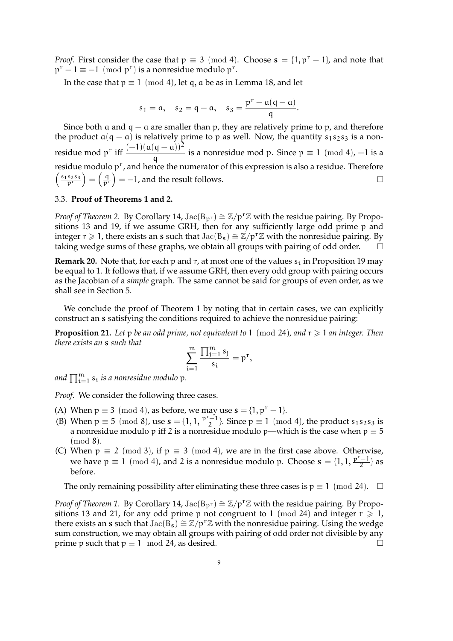*Proof.* First consider the case that  $p \equiv 3 \pmod{4}$ . Choose  $s = \{1, p^r - 1\}$ , and note that  $p^r - 1 \equiv -1 \pmod{p^r}$  is a nonresidue modulo  $p^r$ .

In the case that  $p \equiv 1 \pmod{4}$ , let q, a be as in Lemma 18, and let

$$
s_1 = a
$$
,  $s_2 = q - a$ ,  $s_3 = \frac{p^r - a(q - a)}{q}$ .

Since both  $a$  and  $q - a$  are smaller than p, they are relatively prime to p, and therefore the product  $a(q - a)$  is relatively prime to p as well. Now, the quantity s<sub>1</sub>s<sub>2</sub>s<sub>3</sub> is a nonresidue mod p<sup>r</sup> iff  $\frac{(-1)(a(q-a))^2}{q}$  is a nonresidue mod p. Since  $p \equiv 1 \pmod{4}$ , -1 is a residue modulo p<sup>r</sup>, and hence the numerator of this expression is also a residue. Therefore  $\left(\frac{s_1s_2s_3}{p^r}\right) = \left(\frac{q}{p^r}\right) = -1$ , and the result follows.

# 3.3. **Proof of Theorems 1 and 2.**

*Proof of Theorem 2.* By Corollary 14, Jac(B<sub>p<sup>r)</sup></sub> ≅  $\mathbb{Z}/p^r\mathbb{Z}$  with the residue pairing. By Propositions 13 and 19, if we assume GRH, then for any sufficiently large odd prime p and integer r  $\geq 1$ , there exists an s such that Jac(B<sub>s</sub>)  $\cong \mathbb{Z}/p^{r}\mathbb{Z}$  with the nonresidue pairing. By taking wedge sums of these graphs, we obtain all groups with pairing of odd order.  $\Box$ 

**Remark 20.** Note that, for each p and r, at most one of the values  $s_i$  in Proposition 19 may be equal to 1. It follows that, if we assume GRH, then every odd group with pairing occurs as the Jacobian of a *simple* graph. The same cannot be said for groups of even order, as we shall see in Section 5.

We conclude the proof of Theorem 1 by noting that in certain cases, we can explicitly construct an s satisfying the conditions required to achieve the nonresidue pairing:

**Proposition 21.** Let p be an odd prime, not equivalent to 1 (mod 24), and  $r \ge 1$  an integer. Then *there exists an* s *such that*

$$
\sum_{i=1}^m\frac{\prod_{j=1}^ms_j}{s_i}=p^r,
$$

and  $\prod_{\mathfrak{i}=1}^\mathfrak{m} s_\mathfrak{i}$  *is a nonresidue modulo*  $\mathfrak{p}.$ 

*Proof.* We consider the following three cases.

- (A) When  $p \equiv 3 \pmod{4}$ , as before, we may use  $s = \{1, p^r 1\}$ .
- (B) When  $p \equiv 5 \pmod{8}$ , use  $s = \{1, 1, \frac{p^r 1}{2}\}$ . Since  $p \equiv 1 \pmod{4}$ , the product  $s_1 s_2 s_3$  is a nonresidue modulo  $\mathfrak p$  iff 2 is a nonresidue modulo  $\mathfrak p$ —which is the case when  $\mathfrak p\equiv 5$ (mod 8).
- (C) When  $p \equiv 2 \pmod{3}$ , if  $p \equiv 3 \pmod{4}$ , we are in the first case above. Otherwise, we have  $p \equiv 1 \pmod{4}$ , and 2 is a nonresidue modulo p. Choose  $\mathbf{s} = \{1, 1, \frac{p^r - 1}{2}\}\$  as before.

The only remaining possibility after eliminating these three cases is  $p \equiv 1 \pmod{24}$ .  $\Box$ 

*Proof of Theorem 1.* By Corollary 14, Jac $(B_{p^r}) \cong \mathbb{Z}/p^r\mathbb{Z}$  with the residue pairing. By Propositions 13 and 21, for any odd prime p not congruent to 1 (mod 24) and integer  $r \ge 1$ , there exists an s such that  $Jac(B_s) \cong \mathbb{Z}/p^r\mathbb{Z}$  with the nonresidue pairing. Using the wedge sum construction, we may obtain all groups with pairing of odd order not divisible by any prime p such that  $p \equiv 1 \mod 24$ , as desired.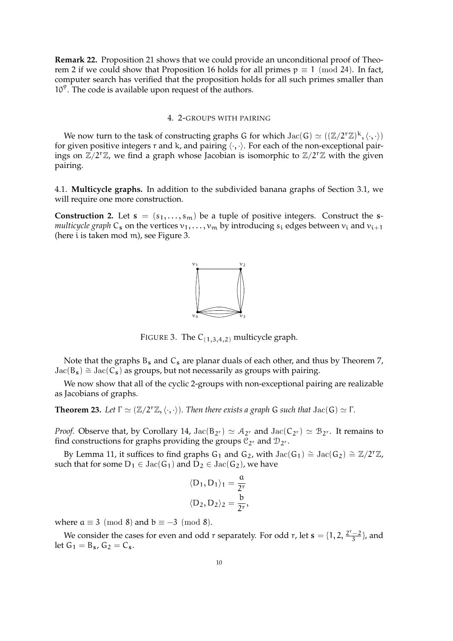**Remark 22.** Proposition 21 shows that we could provide an unconditional proof of Theorem 2 if we could show that Proposition 16 holds for all primes  $p \equiv 1 \pmod{24}$ . In fact, computer search has verified that the proposition holds for all such primes smaller than  $10<sup>9</sup>$ . The code is available upon request of the authors.

## 4. 2-GROUPS WITH PAIRING

We now turn to the task of constructing graphs G for which  $\text{Jac}(G) \simeq ((\mathbb{Z}/2^{r}\mathbb{Z})^{k}, \langle \cdot, \cdot \rangle)$ for given positive integers r and k, and pairing  $\langle \cdot, \cdot \rangle$ . For each of the non-exceptional pairings on  $\mathbb{Z}/2^{r}\mathbb{Z}$ , we find a graph whose Jacobian is isomorphic to  $\mathbb{Z}/2^{r}\mathbb{Z}$  with the given pairing.

4.1. **Multicycle graphs.** In addition to the subdivided banana graphs of Section 3.1, we will require one more construction.

**Construction 2.** Let  $s = (s_1, \ldots, s_m)$  be a tuple of positive integers. Construct the s*multicycle graph*  $C_s$  on the vertices  $v_1, \ldots, v_m$  by introducing  $s_i$  edges between  $v_i$  and  $v_{i+1}$ (here i is taken mod m), see Figure 3.



FIGURE 3. The  $C_{(1,3,4,2)}$  multicycle graph.

Note that the graphs  $B_s$  and  $C_s$  are planar duals of each other, and thus by Theorem 7,  $Jac(B_s) \cong Jac(C_s)$  as groups, but not necessarily as groups with pairing.

We now show that all of the cyclic 2-groups with non-exceptional pairing are realizable as Jacobians of graphs.

**Theorem 23.** *Let*  $\Gamma \simeq (\mathbb{Z}/2^r\mathbb{Z}, \langle \cdot, \cdot \rangle)$ *. Then there exists a graph* G *such that* Jac(G)  $\simeq \Gamma$ *.* 

*Proof.* Observe that, by Corollary 14,  $Jac(B_{2r}) \simeq A_{2r}$  and  $Jac(C_{2r}) \simeq B_{2r}$ . It remains to find constructions for graphs providing the groups  $C_{2^r}$  and  $\mathcal{D}_{2^r}$ .

By Lemma 11, it suffices to find graphs G<sub>1</sub> and G<sub>2</sub>, with Jac(G<sub>1</sub>)  $\cong$  Jac(G<sub>2</sub>)  $\cong \mathbb{Z}/2^{r}\mathbb{Z}$ , such that for some  $D_1 \in \text{Jac}(G_1)$  and  $D_2 \in \text{Jac}(G_2)$ , we have

$$
\langle D_1, D_1 \rangle_1 = \frac{a}{2^r}
$$
  

$$
\langle D_2, D_2 \rangle_2 = \frac{b}{2^r},
$$

where  $a \equiv 3 \pmod{8}$  and  $b \equiv -3 \pmod{8}$ .

We consider the cases for even and odd r separately. For odd r, let  $s = \{1, 2, \frac{2^r - 2}{3}\}$  $\frac{-2}{3}$ , and let  $G_1 = B_s$ ,  $G_2 = C_s$ .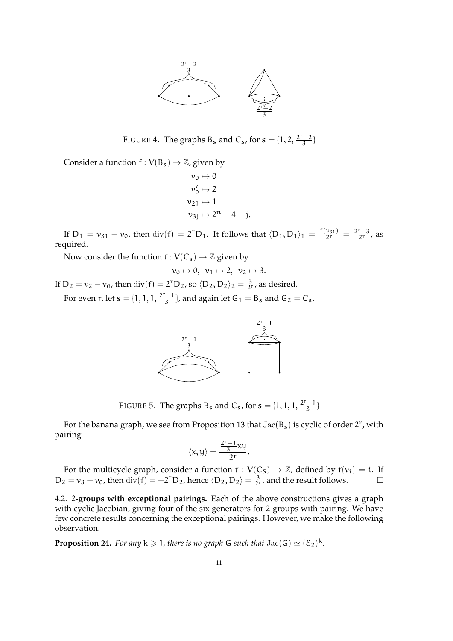

FIGURE 4. The graphs B<sub>s</sub> and C<sub>s</sub>, for  $s = \{1, 2, \frac{2^{r}-2}{3}\}$  $\frac{-2}{3}$ 

Consider a function  $f: V(B_s) \to \mathbb{Z}$ , given by

$$
v_0 \mapsto 0
$$
  
\n
$$
v'_0 \mapsto 2
$$
  
\n
$$
v_{21} \mapsto 1
$$
  
\n
$$
v_{3j} \mapsto 2^n - 4 - j.
$$

If D<sub>1</sub> =  $v_{31} - v_0$ , then div(f) = 2<sup>r</sup>D<sub>1</sub>. It follows that  $\langle D_1, D_1 \rangle_1 = \frac{f(v_{31})}{2^r} = \frac{2^r - 3}{2^r}$ , as required.

Now consider the function  $f : V(C_s) \to \mathbb{Z}$  given by

$$
\nu_0\mapsto 0,\ \nu_1\mapsto 2,\ \nu_2\mapsto 3.
$$

If  $D_2 = v_2 - v_0$ , then  $\text{div}(f) = 2^{\text{r}}D_2$ , so  $\langle D_2, D_2 \rangle_2 = \frac{3}{2^{\text{r}}}$ , as desired.

For even r, let  $s = \{1, 1, 1, \frac{2^r - 1}{3}\}$  $\frac{-1}{3}$ , and again let G<sub>1</sub> = B<sub>s</sub> and G<sub>2</sub> = C<sub>s</sub>.



FIGURE 5. The graphs B<sub>s</sub> and C<sub>s</sub>, for  $s = \{1, 1, 1, \frac{2^r - 1}{3}\}$  $\frac{-1}{3}$ 

For the banana graph, we see from Proposition 13 that  $Jac(B_s)$  is cyclic of order 2<sup>r</sup>, with pairing

$$
\langle x,y\rangle=\frac{\frac{2^r-1}{3}xy}{2^r}.
$$

For the multicycle graph, consider a function  $f : V(C_S) \to \mathbb{Z}$ , defined by  $f(v_i) = i$ . If D<sub>2</sub> =  $v_3 - v_0$ , then div(f) = −2<sup>r</sup>D<sub>2</sub>, hence  $\langle D_2, D_2 \rangle = \frac{3}{2^r}$ , and the result follows.  $\Box$ 

4.2. 2**-groups with exceptional pairings.** Each of the above constructions gives a graph with cyclic Jacobian, giving four of the six generators for 2-groups with pairing. We have few concrete results concerning the exceptional pairings. However, we make the following observation.

**Proposition 24.** For any  $k \ge 1$ , there is no graph G such that  $Jac(G) \simeq (\mathcal{E}_2)^k$ .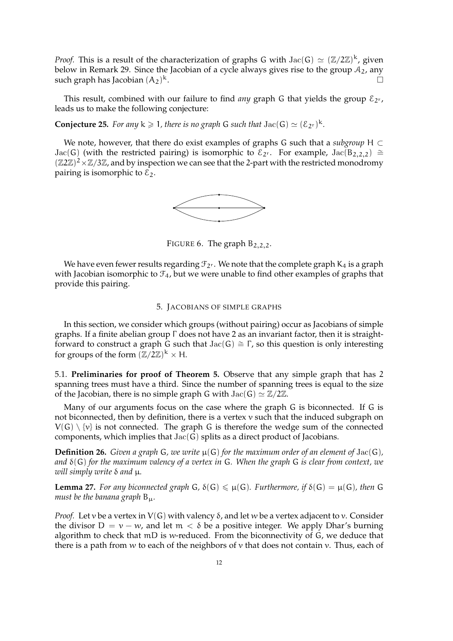*Proof.* This is a result of the characterization of graphs G with  $Jac(G) \simeq (\mathbb{Z}/2\mathbb{Z})^k$ , given below in Remark 29. Since the Jacobian of a cycle always gives rise to the group  $A_2$ , any such graph has Jacobian  $(A_2)^k$ . <sup>k</sup>.

This result, combined with our failure to find *any* graph G that yields the group  $\mathcal{E}_{2^r}$ , leads us to make the following conjecture:

**Conjecture 25.** For any  $k \ge 1$ , there is no graph G such that  $Jac(G) \simeq (\mathcal{E}_{2^r})^k$ .

We note, however, that there do exist examples of graphs G such that a *subgroup* H ⊂ Jac(G) (with the restricted pairing) is isomorphic to  $\mathcal{E}_{2^r}$ . For example, Jac(B<sub>2,2,2</sub>) ≅  $(\mathbb{Z}2\mathbb{Z})^2 \times \mathbb{Z}/3\mathbb{Z}$ , and by inspection we can see that the 2-part with the restricted monodromy pairing is isomorphic to  $\mathcal{E}_2$ .



FIGURE 6. The graph  $B_{2,2,2}$ .

We have even fewer results regarding  $\mathcal{F}_{2r}$ . We note that the complete graph  $K_4$  is a graph with Jacobian isomorphic to  $\mathcal{F}_4$ , but we were unable to find other examples of graphs that provide this pairing.

# 5. JACOBIANS OF SIMPLE GRAPHS

In this section, we consider which groups (without pairing) occur as Jacobians of simple graphs. If a finite abelian group Γ does not have 2 as an invariant factor, then it is straightforward to construct a graph G such that  $Jac(G) \cong \Gamma$ , so this question is only interesting for groups of the form  $(\mathbb{Z}/2\mathbb{Z})^k \times H$ .

5.1. **Preliminaries for proof of Theorem 5.** Observe that any simple graph that has 2 spanning trees must have a third. Since the number of spanning trees is equal to the size of the Jacobian, there is no simple graph G with  $Jac(G) \simeq \mathbb{Z}/2\mathbb{Z}$ .

Many of our arguments focus on the case where the graph G is biconnected. If G is not biconnected, then by definition, there is a vertex  $v$  such that the induced subgraph on  $V(G) \setminus \{v\}$  is not connected. The graph G is therefore the wedge sum of the connected components, which implies that Jac(G) splits as a direct product of Jacobians.

**Definition 26.** *Given a graph* G, we write  $\mu(G)$  for the maximum order of an element of Jac(G), *and* δ(G) *for the maximum valency of a vertex in* G*. When the graph* G *is clear from context, we will simply write* δ *and* µ*.*

**Lemma 27.** For any biconnected graph G,  $\delta(G) \leq \mu(G)$ . Furthermore, if  $\delta(G) = \mu(G)$ , then G *must be the banana graph* Bµ*.*

*Proof.* Let v be a vertex in  $V(G)$  with valency  $\delta$ , and let w be a vertex adjacent to v. Consider the divisor  $D = v - w$ , and let  $m < \delta$  be a positive integer. We apply Dhar's burning algorithm to check that mD is w-reduced. From the biconnectivity of G, we deduce that there is a path from w to each of the neighbors of  $\nu$  that does not contain  $\nu$ . Thus, each of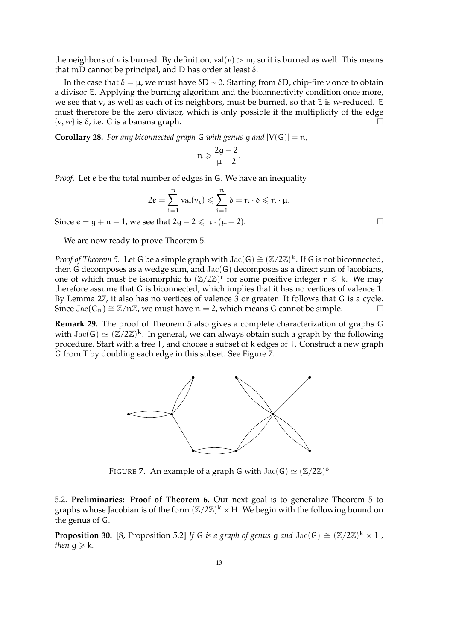the neighbors of v is burned. By definition,  $val(v) > m$ , so it is burned as well. This means that mD cannot be principal, and D has order at least  $δ$ .

In the case that  $δ = μ$ , we must have  $δD \sim 0$ . Starting from  $δD$ , chip-fire v once to obtain a divisor E. Applying the burning algorithm and the biconnectivity condition once more, we see that v, as well as each of its neighbors, must be burned, so that E is w-reduced. E must therefore be the zero divisor, which is only possible if the multiplicity of the edge  $\{v, w\}$  is  $\delta$ , i.e. G is a banana graph.

**Corollary 28.** For any biconnected graph G with genus q and  $|V(G)| = n$ ,

$$
n\geqslant \frac{2g-2}{\mu-2}.
$$

*Proof.* Let e be the total number of edges in G. We have an inequality

$$
2e = \sum_{i=1}^n \operatorname{val}(v_i) \leqslant \sum_{i=1}^n \delta = n \cdot \delta \leqslant n \cdot \mu.
$$

Since  $e = q + n - 1$ , we see that  $2q - 2 \leq n \cdot (\mu - 2)$ .

We are now ready to prove Theorem 5.

*Proof of Theorem 5.* Let G be a simple graph with Jac(G) ≅ (Z/2Z)<sup>k</sup>. If G is not biconnected, then G decomposes as a wedge sum, and Jac(G) decomposes as a direct sum of Jacobians, one of which must be isomorphic to  $(\mathbb{Z}/2\mathbb{Z})^r$  for some positive integer  $r \leq k$ . We may therefore assume that G is biconnected, which implies that it has no vertices of valence 1. By Lemma 27, it also has no vertices of valence 3 or greater. It follows that G is a cycle. Since Jac( $C_n$ ) ≅  $\mathbb{Z}/n\mathbb{Z}$ , we must have  $n = 2$ , which means G cannot be simple.  $\Box$ 

**Remark 29.** The proof of Theorem 5 also gives a complete characterization of graphs G with  $Jac(G) \simeq (\mathbb{Z}/2\mathbb{Z})^k$ . In general, we can always obtain such a graph by the following procedure. Start with a tree  $\overline{T}$ , and choose a subset of k edges of T. Construct a new graph G from T by doubling each edge in this subset. See Figure 7.



FIGURE 7. An example of a graph G with  $\mathrm{Jac}(G) \simeq (\mathbb{Z}/2\mathbb{Z})^6$ 

5.2. **Preliminaries: Proof of Theorem 6.** Our next goal is to generalize Theorem 5 to graphs whose Jacobian is of the form  $(\mathbb{Z}/2\mathbb{Z})^k \times H$ . We begin with the following bound on the genus of G.

**Proposition 30.** [8, Proposition 5.2] If G *is a graph of genus* g and  $Jac(G) \cong (\mathbb{Z}/2\mathbb{Z})^k \times H$ , *then*  $q \ge k$ *.*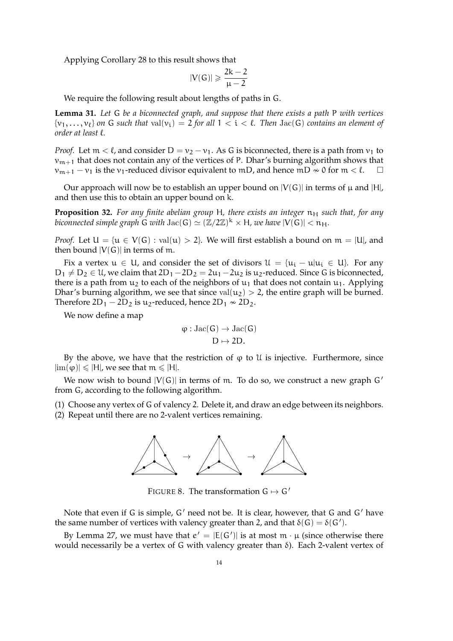Applying Corollary 28 to this result shows that

$$
|V(G)| \geqslant \frac{2k-2}{\mu-2}
$$

We require the following result about lengths of paths in G.

**Lemma 31.** *Let* G *be a biconnected graph, and suppose that there exists a path* P *with vertices*  $\{v_1, \ldots, v_\ell\}$  on G such that  $val(v_i) = 2$  for all  $1 < i < \ell$ . Then  $Jac(G)$  contains an element of *order at least* `*.*

*Proof.* Let  $m < \ell$ , and consider  $D = v_2 - v_1$ . As G is biconnected, there is a path from  $v_1$  to  $v_{m+1}$  that does not contain any of the vertices of P. Dhar's burning algorithm shows that  $v_{m+1} - v_1$  is the  $v_1$ -reduced divisor equivalent to mD, and hence mD  $\approx 0$  for m  $\lt \ell$ .

Our approach will now be to establish an upper bound on  $|V(G)|$  in terms of  $\mu$  and  $|H|$ , and then use this to obtain an upper bound on k.

**Proposition 32.** For any finite abelian group H, there exists an integer  $n_H$  such that, for any biconnected simple graph  $\widetilde{G}$  with  $\mathrm{Jac}(G) \simeq (\mathbb{Z}/2\mathbb{Z})^k \times H$ , we have  $|V(\widetilde{G})| < n_H$ .

*Proof.* Let  $U = \{u \in V(G) : val(u) > 2\}$ . We will first establish a bound on  $m = |U|$ , and then bound  $|V(G)|$  in terms of m.

Fix a vertex  $u \in U$ , and consider the set of divisors  $\mathcal{U} = \{u_i - u | u_i \in U\}$ . For any  $D_1 \neq D_2 \in \mathcal{U}$ , we claim that  $2D_1 - 2D_2 = 2u_1 - 2u_2$  is  $u_2$ -reduced. Since G is biconnected, there is a path from  $u_2$  to each of the neighbors of  $u_1$  that does not contain  $u_1$ . Applying Dhar's burning algorithm, we see that since  $val(u_2) > 2$ , the entire graph will be burned. Therefore  $2D_1 - 2D_2$  is u<sub>2</sub>-reduced, hence  $2D_1 \approx 2D_2$ .

We now define a map

$$
\phi : \mathrm{Jac}(G) \to \mathrm{Jac}(G)
$$
  

$$
D \mapsto 2D.
$$

By the above, we have that the restriction of  $\varphi$  to U is injective. Furthermore, since  $|\text{im}(\varphi)| \leq |H|$ , we see that  $m \leq |H|$ .

We now wish to bound  $|V(G)|$  in terms of m. To do so, we construct a new graph  $G'$ from G, according to the following algorithm.

(1) Choose any vertex of G of valency 2. Delete it, and draw an edge between its neighbors.

(2) Repeat until there are no 2-valent vertices remaining.



FIGURE 8. The transformation  $G \mapsto G'$ 

Note that even if G is simple,  $G'$  need not be. It is clear, however, that G and  $G'$  have the same number of vertices with valency greater than 2, and that  $\delta(G) = \delta(G')$ .

By Lemma 27, we must have that  $e' = |E(G')|$  is at most  $m \cdot \mu$  (since otherwise there would necessarily be a vertex of G with valency greater than  $\delta$ ). Each 2-valent vertex of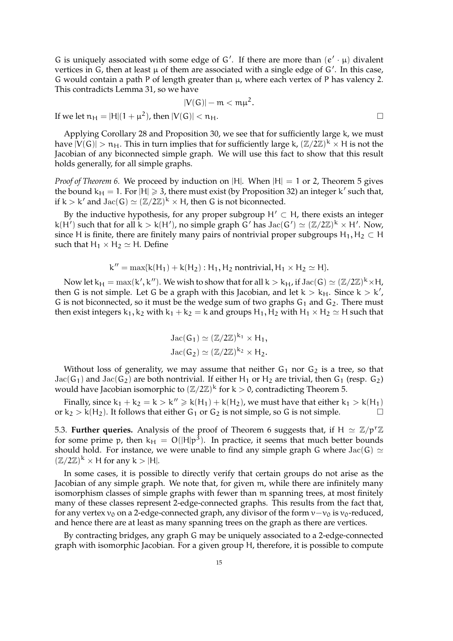G is uniquely associated with some edge of G'. If there are more than  $(e' \cdot \mu)$  divalent vertices in G, then at least  $\mu$  of them are associated with a single edge of G'. In this case, G would contain a path P of length greater than  $\mu$ , where each vertex of P has valency 2. This contradicts Lemma 31, so we have

$$
|V(G)| - m < m\mu^{2}.
$$
  
+  $\mu^{2}$ ), then  $|V(G)| < n_{H}$ .

If we let  $n_H = |H|(1$ 

Applying Corollary 28 and Proposition 30, we see that for sufficiently large k, we must have  $|V(G)| > n_H$ . This in turn implies that for sufficiently large k,  $(\mathbb{Z}/2\mathbb{Z})^k \times H$  is not the Jacobian of any biconnected simple graph. We will use this fact to show that this result holds generally, for all simple graphs.

*Proof of Theorem 6.* We proceed by induction on |H|. When  $|H| = 1$  or 2, Theorem 5 gives the bound  $k_H = 1$ . For  $|H| \ge 3$ , there must exist (by Proposition 32) an integer k' such that, if  $k > k'$  and  $Jac(G) \simeq (\mathbb{Z}/2\mathbb{Z})^k \times H$ , then G is not biconnected.

By the inductive hypothesis, for any proper subgroup  $H' \subset H$ , there exists an integer k(H') such that for all  $k > k(H')$ , no simple graph G' has  $Jac(G') \simeq (\mathbb{Z}/2\mathbb{Z})^k \times H'$ . Now, since H is finite, there are finitely many pairs of nontrivial proper subgroups  $H_1, H_2 \subset H$ such that  $H_1 \times H_2 \simeq H$ . Define

$$
k'' = \max\{k(H_1) + k(H_2) : H_1, H_2 \text{ nontrivial}, H_1 \times H_2 \simeq H\}.
$$

Now let  $k_H = max(k', k'')$ . We wish to show that for all  $k > k_H$ , if  $Jac(G) \simeq (\mathbb{Z}/2\mathbb{Z})^k \times H$ , then G is not simple. Let G be a graph with this Jacobian, and let  $k > k_H$ . Since  $k > k'$ , G is not biconnected, so it must be the wedge sum of two graphs  $G_1$  and  $G_2$ . There must then exist integers  $k_1$ ,  $k_2$  with  $k_1 + k_2 = k$  and groups  $H_1$ ,  $H_2$  with  $H_1 \times H_2 \simeq H$  such that

$$
Jac(G_1) \simeq (\mathbb{Z}/2\mathbb{Z})^{k_1} \times H_1,
$$
  

$$
Jac(G_2) \simeq (\mathbb{Z}/2\mathbb{Z})^{k_2} \times H_2.
$$

Without loss of generality, we may assume that neither  $G_1$  nor  $G_2$  is a tree, so that Jac(G<sub>1</sub>) and Jac(G<sub>2</sub>) are both nontrivial. If either H<sub>1</sub> or H<sub>2</sub> are trivial, then G<sub>1</sub> (resp. G<sub>2</sub>) would have Jacobian isomorphic to  $(\mathbb{Z}/2\mathbb{Z})^k$  for  $k > 0$ , contradicting Theorem 5.

Finally, since  $k_1 + k_2 = k > k'' \ge k(H_1) + k(H_2)$ , we must have that either  $k_1 > k(H_1)$ or  $k_2 > k(H_2)$ . It follows that either  $G_1$  or  $G_2$  is not simple, so G is not simple.

5.3. **Further queries.** Analysis of the proof of Theorem 6 suggests that, if  $H \simeq \mathbb{Z}/p^r\mathbb{Z}$ for some prime p, then  $k_H = O(|H|p^3)$ . In practice, it seems that much better bounds should hold. For instance, we were unable to find any simple graph G where  $Jac(G) \simeq$  $(\mathbb{Z}/2\mathbb{Z})^k \times H$  for any  $k > |H|$ .

In some cases, it is possible to directly verify that certain groups do not arise as the Jacobian of any simple graph. We note that, for given m, while there are infinitely many isomorphism classes of simple graphs with fewer than m spanning trees, at most finitely many of these classes represent 2-edge-connected graphs. This results from the fact that, for any vertex  $v_0$  on a 2-edge-connected graph, any divisor of the form  $v-v_0$  is  $v_0$ -reduced, and hence there are at least as many spanning trees on the graph as there are vertices.

By contracting bridges, any graph G may be uniquely associated to a 2-edge-connected graph with isomorphic Jacobian. For a given group H, therefore, it is possible to compute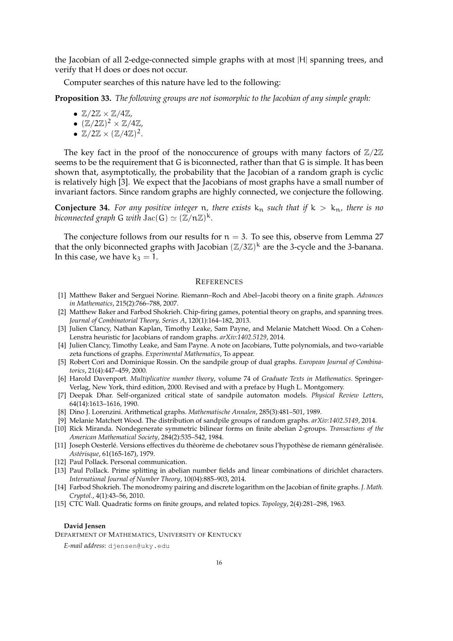the Jacobian of all 2-edge-connected simple graphs with at most |H| spanning trees, and verify that H does or does not occur.

Computer searches of this nature have led to the following:

**Proposition 33.** *The following groups are not isomorphic to the Jacobian of any simple graph:*

- $\mathbb{Z}/2\mathbb{Z} \times \mathbb{Z}/4\mathbb{Z}$
- $\bullet$   $(\mathbb{Z}/2\mathbb{Z})^2 \times \mathbb{Z}/4\mathbb{Z}$
- $\mathbb{Z}/2\mathbb{Z} \times (\mathbb{Z}/4\mathbb{Z})^2$ .

The key fact in the proof of the nonoccurence of groups with many factors of  $\mathbb{Z}/2\mathbb{Z}$ seems to be the requirement that G is biconnected, rather than that G is simple. It has been shown that, asymptotically, the probability that the Jacobian of a random graph is cyclic is relatively high [3]. We expect that the Jacobians of most graphs have a small number of invariant factors. Since random graphs are highly connected, we conjecture the following.

**Conjecture 34.** For any positive integer n, there exists  $k_n$  such that if  $k > k_n$ , there is no *biconnected graph* G *with*  $\mathrm{Jac}(G) \simeq (\mathbb{Z}/n\mathbb{Z})^k$ *.* 

The conjecture follows from our results for  $n = 3$ . To see this, observe from Lemma 27 that the only biconnected graphs with Jacobian  $(\mathbb{Z}/3\mathbb{Z})^k$  are the 3-cycle and the 3-banana. In this case, we have  $k_3 = 1$ .

#### **REFERENCES**

- [1] Matthew Baker and Serguei Norine. Riemann–Roch and Abel–Jacobi theory on a finite graph. *Advances in Mathematics*, 215(2):766–788, 2007.
- [2] Matthew Baker and Farbod Shokrieh. Chip-firing games, potential theory on graphs, and spanning trees. *Journal of Combinatorial Theory, Series A*, 120(1):164–182, 2013.
- [3] Julien Clancy, Nathan Kaplan, Timothy Leake, Sam Payne, and Melanie Matchett Wood. On a Cohen-Lenstra heuristic for Jacobians of random graphs. *arXiv:1402.5129*, 2014.
- [4] Julien Clancy, Timothy Leake, and Sam Payne. A note on Jacobians, Tutte polynomials, and two-variable zeta functions of graphs. *Experimental Mathematics*, To appear.
- [5] Robert Cori and Dominique Rossin. On the sandpile group of dual graphs. *European Journal of Combinatorics*, 21(4):447–459, 2000.
- [6] Harold Davenport. *Multiplicative number theory*, volume 74 of *Graduate Texts in Mathematics*. Springer-Verlag, New York, third edition, 2000. Revised and with a preface by Hugh L. Montgomery.
- [7] Deepak Dhar. Self-organized critical state of sandpile automaton models. *Physical Review Letters*, 64(14):1613–1616, 1990.
- [8] Dino J. Lorenzini. Arithmetical graphs. *Mathematische Annalen*, 285(3):481–501, 1989.
- [9] Melanie Matchett Wood. The distribution of sandpile groups of random graphs. *arXiv:1402.5149*, 2014.
- [10] Rick Miranda. Nondegenerate symmetric bilinear forms on finite abelian 2-groups. *Transactions of the American Mathematical Society*, 284(2):535–542, 1984.
- [11] Joseph Oesterlé. Versions effectives du théorème de chebotarev sous l'hypothèse de riemann généralisée. *Ast´erisque*, 61(165-167), 1979.
- [12] Paul Pollack. Personal communication.
- [13] Paul Pollack. Prime splitting in abelian number fields and linear combinations of dirichlet characters. *International Journal of Number Theory*, 10(04):885–903, 2014.
- [14] Farbod Shokrieh. The monodromy pairing and discrete logarithm on the Jacobian of finite graphs. *J. Math. Cryptol.*, 4(1):43–56, 2010.
- [15] CTC Wall. Quadratic forms on finite groups, and related topics. *Topology*, 2(4):281–298, 1963.

#### **David Jensen**

DEPARTMENT OF MATHEMATICS, UNIVERSITY OF KENTUCKY

*E-mail address*: djensen@uky.edu